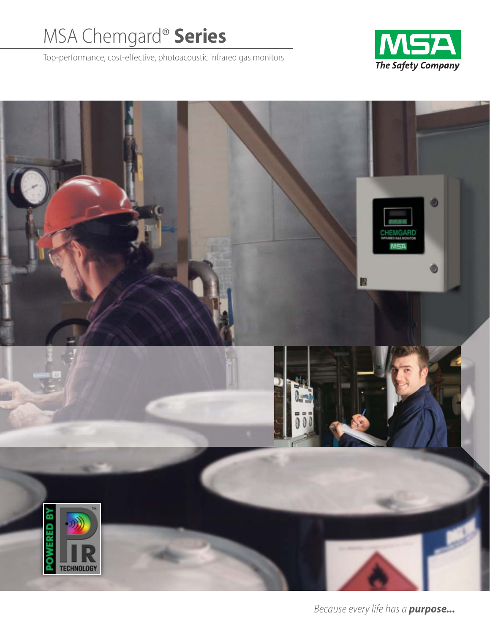# MSA Chemgard® **Series**

Top-performance, cost-effective, photoacoustic infrared gas monitors





Because every life has a *purpose...*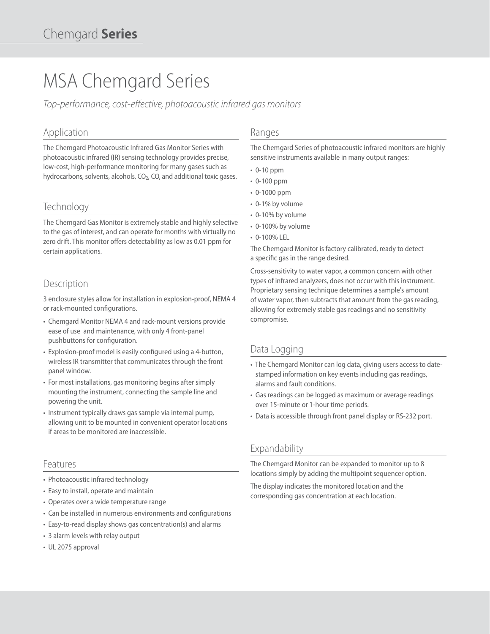# MSA Chemgard Series

Top-performance, cost-effective, photoacoustic infrared gas monitors

# Application

The Chemgard Photoacoustic Infrared Gas Monitor Series with photoacoustic infrared (IR) sensing technology provides precise, low-cost, high-performance monitoring for many gases such as hydrocarbons, solvents, alcohols, CO<sub>2</sub>, CO, and additional toxic gases.

# **Technology**

The Chemgard Gas Monitor is extremely stable and highly selective to the gas of interest, and can operate for months with virtually no zero drift. This monitor offers detectability as low as 0.01 ppm for certain applications.

# **Description**

3 enclosure styles allow for installation in explosion-proof, NEMA 4 or rack-mounted configurations.

- Chemgard Monitor NEMA 4 and rack-mount versions provide ease of use and maintenance, with only 4 front-panel pushbuttons for configuration.
- Explosion-proof model is easily configured using a 4-button, wireless IR transmitter that communicates through the front panel window.
- For most installations, gas monitoring begins after simply mounting the instrument, connecting the sample line and powering the unit.
- Instrument typically draws gas sample via internal pump, allowing unit to be mounted in convenient operator locations if areas to be monitored are inaccessible.

### Features

- Photoacoustic infrared technology
- Easy to install, operate and maintain
- Operates over a wide temperature range
- Can be installed in numerous environments and configurations
- Easy-to-read display shows gas concentration(s) and alarms
- 3 alarm levels with relay output
- UL 2075 approval

### Ranges

The Chemgard Series of photoacoustic infrared monitors are highly sensitive instruments available in many output ranges:

- 0-10 ppm
- 0-100 ppm
- 0-1000 ppm
- 0-1% by volume
- 0-10% by volume
- 0-100% by volume
- 0-100% LEL

The Chemgard Monitor is factory calibrated, ready to detect a specific gas in the range desired.

Cross-sensitivity to water vapor, a common concern with other types of infrared analyzers, does not occur with this instrument. Proprietary sensing technique determines a sample's amount of water vapor, then subtracts that amount from the gas reading, allowing for extremely stable gas readings and no sensitivity compromise.

### Data Logging

- The Chemgard Monitor can log data, giving users access to datestamped information on key events including gas readings, alarms and fault conditions.
- Gas readings can be logged as maximum or average readings over 15-minute or 1-hour time periods.
- Data is accessible through front panel display or RS-232 port.

### Expandability

The Chemgard Monitor can be expanded to monitor up to 8 locations simply by adding the multipoint sequencer option.

The display indicates the monitored location and the corresponding gas concentration at each location.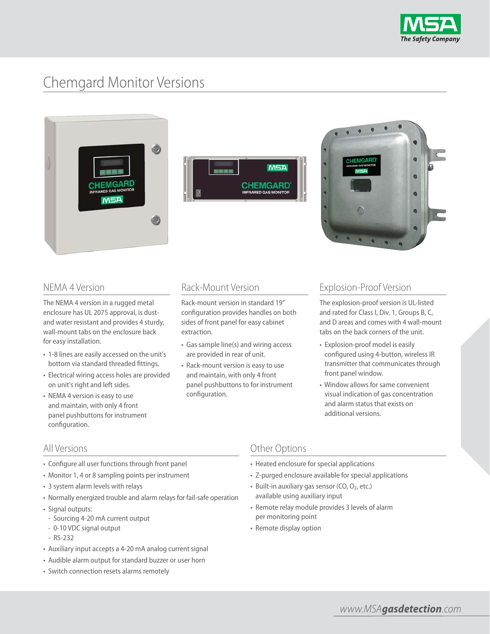

# Chemgard Monitor Versions







# NEMA 4 Version

The NEMA 4 version in a rugged metal enclosure has UL 2075 approval, is dustand water resistant and provides 4 sturdy, wall-mount tabs on the enclosure back for easy installation.

- 1-8 lines are easily accessed on the unit's bottom via standard threaded fittings.
- Electrical wiring access holes are provided on unit's right and left sides.
- NEMA 4 version is easy to use and maintain, with only 4 front panel pushbuttons for instrument configuration.

# Rack-Mount Version

Rack-mount version in standard 19" configuration provides handles on both sides of front panel for easy cabinet extraction.

- Gas sample line(s) and wiring access are provided in rear of unit.
- Rack-mount version is easy to use and maintain, with only 4 front panel pushbuttons to for instrument configuration.

# Explosion-Proof Version

The explosion-proof version is UL-listed and rated for Class I, Div. 1, Groups B, C, and D areas and comes with 4 wall-mount tabs on the back corners of the unit.

- Explosion-proof model is easily configured using 4-button, wireless IR transmitter that communicates through front panel window.
- Window allows for same convenient visual indication of gas concentration and alarm status that exists on additional versions.

### All Versions

- Configure all user functions through front panel
- Monitor 1, 4 or 8 sampling points per instrument
- 3 system alarm levels with relays
- Normally energized trouble and alarm relays for fail-safe operation
- Signal outputs:
- Sourcing 4-20 mA current output
- 0-10 VDC signal output
- RS-232
- Auxiliary input accepts a 4-20 mA analog current signal
- Audible alarm output for standard buzzer or user horn
- Switch connection resets alarms remotely

### Other Options

- Heated enclosure for special applications
- Z-purged enclosure available for special applications
- $\cdot$  Built-in auxiliary gas sensor (CO, O<sub>2</sub>, etc.) available using auxiliary input
- Remote relay module provides 3 levels of alarm per monitoring point
- Remote display option